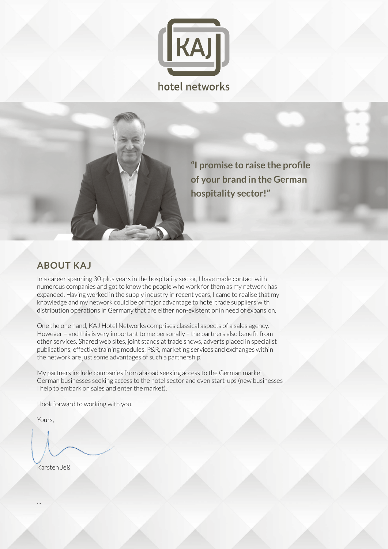

**"I promise to raise the profile of your brand in the German hospitality sector!"**

#### **ABOUT KAJ**

In a career spanning 30-plus years in the hospitality sector, I have made contact with numerous companies and got to know the people who work for them as my network has expanded. Having worked in the supply industry in recent years, I came to realise that my knowledge and my network could be of major advantage to hotel trade suppliers with distribution operations in Germany that are either non-existent or in need of expansion.

One the one hand, KAJ Hotel Networks comprises classical aspects of a sales agency. However – and this is very important to me personally – the partners also benefit from other services. Shared web sites, joint stands at trade shows, adverts placed in specialist publications, effective training modules, P&R, marketing services and exchanges within the network are just some advantages of such a partnership.

My partners include companies from abroad seeking access to the German market, German businesses seeking access to the hotel sector and even start-ups (new businesses I help to embark on sales and enter the market).

I look forward to working with you.

Yours,

...

Karsten Jeß